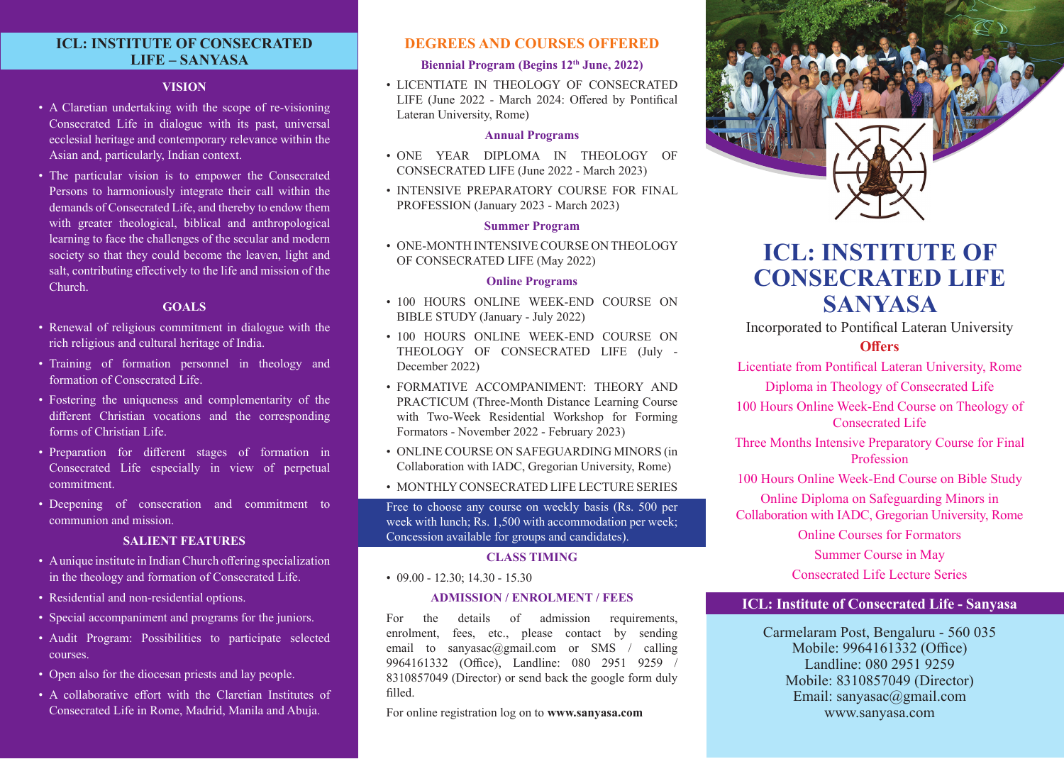# **ICL: INSTITUTE OF CONSECRATED LIFE – SANYASA**

#### **VISION**

- A Claretian undertaking with the scope of re-visioning Consecrated Life in dialogue with its past, universal ecclesial heritage and contemporary relevance within the Asian and, particularly, Indian context.
- The particular vision is to empower the Consecrated Persons to harmoniously integrate their call within the demands of Consecrated Life, and thereby to endow them with greater theological, biblical and anthropological learning to face the challenges of the secular and modern society so that they could become the leaven, light and salt, contributing effectively to the life and mission of the Church.

#### **GOALS**

- Renewal of religious commitment in dialogue with the rich religious and cultural heritage of India.
- Training of formation personnel in theology and formation of Consecrated Life.
- Fostering the uniqueness and complementarity of the different Christian vocations and the corresponding forms of Christian Life.
- Preparation for different stages of formation in Consecrated Life especially in view of perpetual commitment.
- Deepening of consecration and commitment to communion and mission.

## **SALIENT FEATURES**

- A unique institute in Indian Church offering specialization in the theology and formation of Consecrated Life.
- Residential and non-residential options.
- Special accompaniment and programs for the juniors.
- Audit Program: Possibilities to participate selected courses.
- Open also for the diocesan priests and lay people.
- A collaborative effort with the Claretian Institutes of Consecrated Life in Rome, Madrid, Manila and Abuja.

## **DEGREES AND COURSES OFFERED**

## **Biennial Program (Begins 12th June, 2022)**

• LICENTIATE IN THEOLOGY OF CONSECRATED LIFE (June 2022 - March 2024: Offered by Pontifical Lateran University, Rome)

#### **Annual Programs**

- ONE YEAR DIPLOMA IN THEOLOGY OF CONSECRATED LIFE (June 2022 - March 2023)
- INTENSIVE PREPARATORY COURSE FOR FINAL PROFESSION (January 2023 - March 2023)

#### **Summer Program**

• ONE-MONTH INTENSIVE COURSE ON THEOLOGY OF CONSECRATED LIFE (May 2022)

#### **Online Programs**

- 100 HOURS ONLINE WEEK-END COURSE ON BIBLE STUDY (January - July 2022)
- 100 HOURS ONLINE WEEK-END COURSE ON THEOLOGY OF CONSECRATED LIFE (July - December 2022)
- FORMATIVE ACCOMPANIMENT: THEORY AND PRACTICUM (Three-Month Distance Learning Course with Two-Week Residential Workshop for Forming Formators - November 2022 - February 2023)
- ONLINE COURSE ON SAFEGUARDING MINORS (in Collaboration with IADC, Gregorian University, Rome)
- MONTHLY CONSECRATED LIFE LECTURE SERIES

Free to choose any course on weekly basis (Rs. 500 per week with lunch; Rs. 1,500 with accommodation per week; Concession available for groups and candidates).

#### **CLASS TIMING**

 $\cdot$  09.00 - 12.30; 14.30 - 15.30

#### **ADMISSION / ENROLMENT / FEES**

For the details of admission requirements, enrolment, fees, etc., please contact by sending email to sanyasac@gmail.com or SMS / calling 9964161332 (Office), Landline: 080 2951 9259 / 8310857049 (Director) or send back the google form duly filled.

For online registration log on to **www.sanyasa.com**



# **ICL: INSTITUTE OF CONSECRATED LIFE SANYASA**

Incorporated to Pontifical Lateran University

## **Offers**

Licentiate from Pontifical Lateran University, Rome

Diploma in Theology of Consecrated Life

100 Hours Online Week-End Course on Theology of Consecrated Life

Three Months Intensive Preparatory Course for Final Profession

100 Hours Online Week-End Course on Bible Study Online Diploma on Safeguarding Minors in

Collaboration with IADC, Gregorian University, Rome

Online Courses for Formators

Summer Course in May Consecrated Life Lecture Series

# **ICL: Institute of Consecrated Life - Sanyasa**

Carmelaram Post, Bengaluru - 560 035 Mobile: 9964161332 (Office) Landline: 080 2951 9259 Mobile: 8310857049 (Director) Email: sanyasac@gmail.com www.sanyasa.com